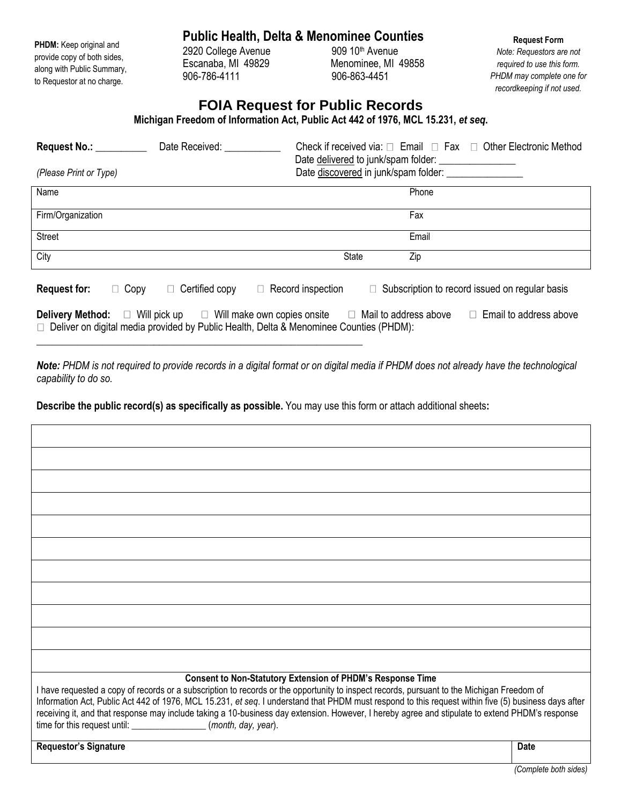| PHDM: Keep original and     |
|-----------------------------|
| provide copy of both sides, |
| along with Public Summary,  |
| to Requestor at no charge.  |

## **Public Health, Delta & Menominee Counties**

2920 College Avenue 906-786-4111 906-863-4451

Escanaba, MI 49829 Menominee, MI 49858

**Request Form** *Note: Requestors are not required to use this form. PHDM may complete one for recordkeeping if not used.*

## **FOIA Request for Public Records**

**Michigan Freedom of Information Act, Public Act 442 of 1976, MCL 15.231,** *et seq***.**

| Request No.: No.:<br>(Please Print or Type)                                                                                                                                                                                                         | Date Received:                                        |                                    | Check if received via: $\Box$ Email $\Box$ Fax $\Box$ Other Electronic Method<br>Date delivered to junk/spam folder: |  |
|-----------------------------------------------------------------------------------------------------------------------------------------------------------------------------------------------------------------------------------------------------|-------------------------------------------------------|------------------------------------|----------------------------------------------------------------------------------------------------------------------|--|
|                                                                                                                                                                                                                                                     | Date discovered in junk/spam folder: ________________ |                                    |                                                                                                                      |  |
| Name                                                                                                                                                                                                                                                |                                                       |                                    | Phone                                                                                                                |  |
| Firm/Organization                                                                                                                                                                                                                                   |                                                       |                                    | Fax                                                                                                                  |  |
| Street                                                                                                                                                                                                                                              |                                                       |                                    | Email                                                                                                                |  |
| City                                                                                                                                                                                                                                                |                                                       | <b>State</b>                       | Zip                                                                                                                  |  |
| <b>Request for:</b><br>$\Box$ Copy                                                                                                                                                                                                                  | Certified copy                                        | $\Box$ Record inspection<br>$\Box$ | Subscription to record issued on regular basis                                                                       |  |
| $\Box$ Email to address above<br>$\Box$ Mail to address above<br><b>Delivery Method:</b> $\Box$ Will pick up<br>$\Box$ Will make own copies onsite<br>$\Box$ Deliver on digital media provided by Public Health, Delta & Menominee Counties (PHDM): |                                                       |                                    |                                                                                                                      |  |

*Note: PHDM is not required to provide records in a digital format or on digital media if PHDM does not already have the technological capability to do so.*

**Describe the public record(s) as specifically as possible.** You may use this form or attach additional sheets**:**

\_\_\_\_\_\_\_\_\_\_\_\_\_\_\_\_\_\_\_\_\_\_\_\_\_\_\_\_\_\_\_\_\_\_\_\_\_\_\_\_\_\_\_\_\_\_\_\_\_\_\_\_\_\_\_\_\_\_\_\_\_\_\_\_

| <b>Consent to Non-Statutory Extension of PHDM's Response Time</b><br>I have requested a copy of records or a subscription to records or the opportunity to inspect records, pursuant to the Michigan Freedom of<br>Information Act, Public Act 442 of 1976, MCL 15.231, et seq. I understand that PHDM must respond to this request within five (5) business days after<br>receiving it, and that response may include taking a 10-business day extension. However, I hereby agree and stipulate to extend PHDM's response<br>time for this request until: __________________(month, day, year). |
|--------------------------------------------------------------------------------------------------------------------------------------------------------------------------------------------------------------------------------------------------------------------------------------------------------------------------------------------------------------------------------------------------------------------------------------------------------------------------------------------------------------------------------------------------------------------------------------------------|

**Requestor's Signature Date Date Date Date Date Date Date Date Date Date Date Date Date Date Date Date Date Date Date Date Date Date Date Date D**